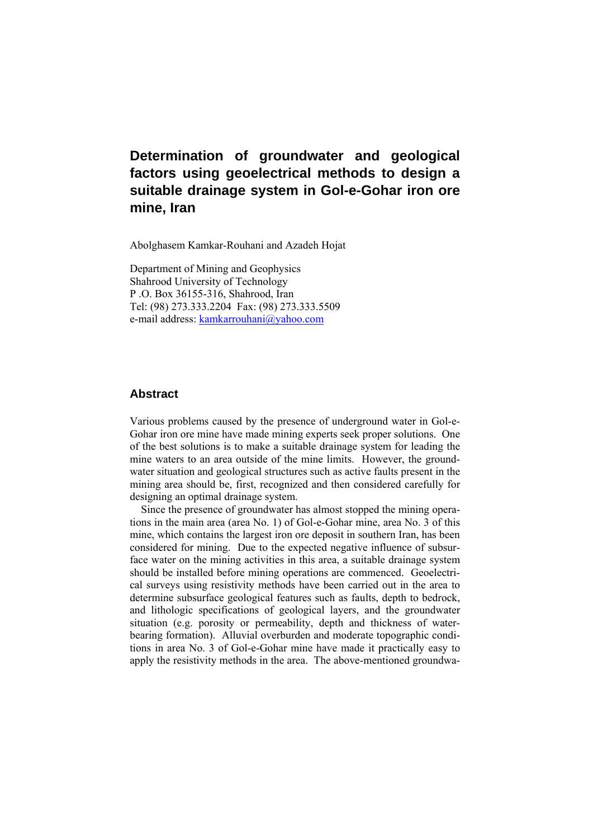Abolghasem Kamkar-Rouhani and Azadeh Hojat

Department of Mining and Geophysics Shahrood University of Technology P .O. Box 36155-316, Shahrood, Iran Tel: (98) 273.333.2204 Fax: (98) 273.333.5509 e-mail address: kamkarrouhani@yahoo.com

#### **Abstract**

Various problems caused by the presence of underground water in Gol-e-Gohar iron ore mine have made mining experts seek proper solutions. One of the best solutions is to make a suitable drainage system for leading the mine waters to an area outside of the mine limits. However, the groundwater situation and geological structures such as active faults present in the mining area should be, first, recognized and then considered carefully for designing an optimal drainage system.

Since the presence of groundwater has almost stopped the mining operations in the main area (area No. 1) of Gol-e-Gohar mine, area No. 3 of this mine, which contains the largest iron ore deposit in southern Iran, has been considered for mining. Due to the expected negative influence of subsurface water on the mining activities in this area, a suitable drainage system should be installed before mining operations are commenced. Geoelectrical surveys using resistivity methods have been carried out in the area to determine subsurface geological features such as faults, depth to bedrock, and lithologic specifications of geological layers, and the groundwater situation (e.g. porosity or permeability, depth and thickness of waterbearing formation). Alluvial overburden and moderate topographic conditions in area No. 3 of Gol-e-Gohar mine have made it practically easy to apply the resistivity methods in the area. The above-mentioned groundwa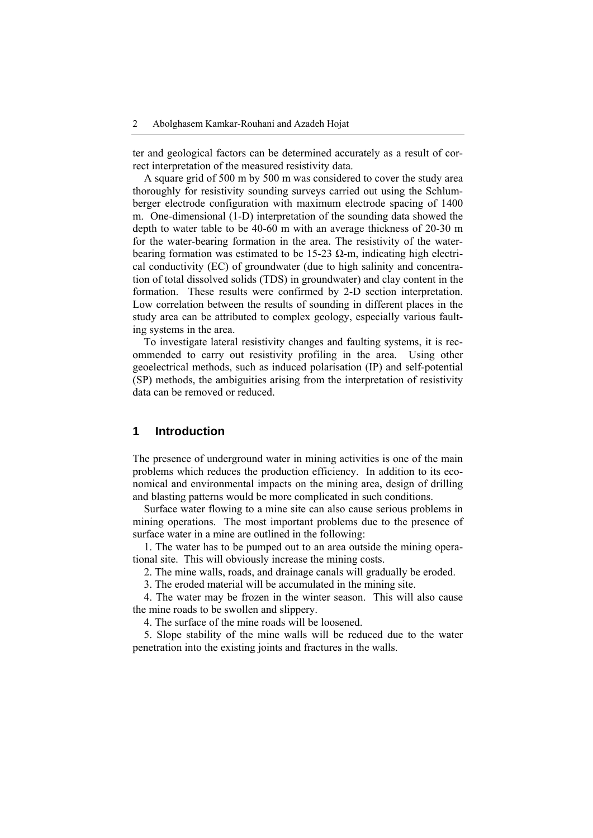ter and geological factors can be determined accurately as a result of correct interpretation of the measured resistivity data.

A square grid of 500 m by 500 m was considered to cover the study area thoroughly for resistivity sounding surveys carried out using the Schlumberger electrode configuration with maximum electrode spacing of 1400 m. One-dimensional (1-D) interpretation of the sounding data showed the depth to water table to be 40-60 m with an average thickness of 20-30 m for the water-bearing formation in the area. The resistivity of the waterbearing formation was estimated to be 15-23  $\Omega$ -m, indicating high electrical conductivity (EC) of groundwater (due to high salinity and concentration of total dissolved solids (TDS) in groundwater) and clay content in the formation. These results were confirmed by 2-D section interpretation. Low correlation between the results of sounding in different places in the study area can be attributed to complex geology, especially various faulting systems in the area.

To investigate lateral resistivity changes and faulting systems, it is recommended to carry out resistivity profiling in the area. Using other geoelectrical methods, such as induced polarisation (IP) and self-potential (SP) methods, the ambiguities arising from the interpretation of resistivity data can be removed or reduced.

# **1 Introduction**

The presence of underground water in mining activities is one of the main problems which reduces the production efficiency. In addition to its economical and environmental impacts on the mining area, design of drilling and blasting patterns would be more complicated in such conditions.

Surface water flowing to a mine site can also cause serious problems in mining operations. The most important problems due to the presence of surface water in a mine are outlined in the following:

1. The water has to be pumped out to an area outside the mining operational site. This will obviously increase the mining costs.

2. The mine walls, roads, and drainage canals will gradually be eroded.

3. The eroded material will be accumulated in the mining site.

4. The water may be frozen in the winter season. This will also cause the mine roads to be swollen and slippery.

4. The surface of the mine roads will be loosened.

5. Slope stability of the mine walls will be reduced due to the water penetration into the existing joints and fractures in the walls.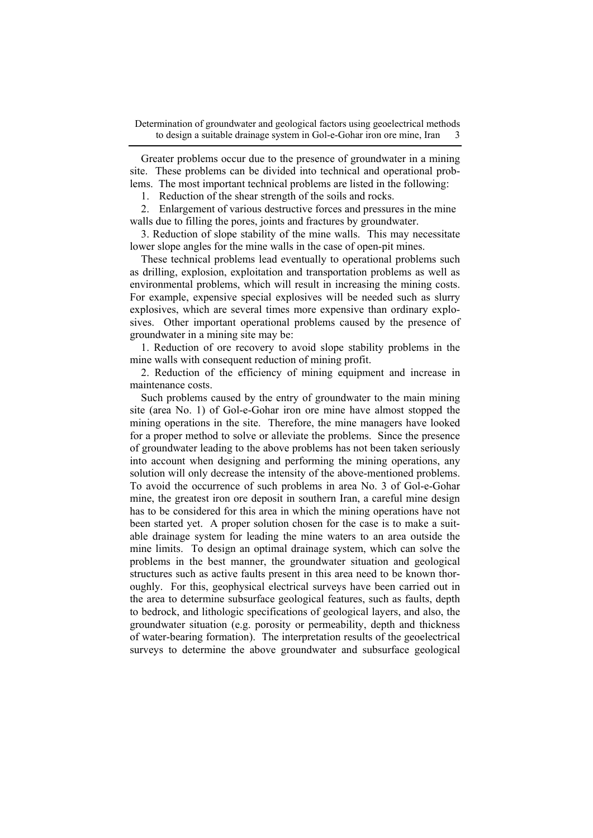Greater problems occur due to the presence of groundwater in a mining site. These problems can be divided into technical and operational problems. The most important technical problems are listed in the following:

1. Reduction of the shear strength of the soils and rocks.

2. Enlargement of various destructive forces and pressures in the mine walls due to filling the pores, joints and fractures by groundwater.

3. Reduction of slope stability of the mine walls. This may necessitate lower slope angles for the mine walls in the case of open-pit mines.

These technical problems lead eventually to operational problems such as drilling, explosion, exploitation and transportation problems as well as environmental problems, which will result in increasing the mining costs. For example, expensive special explosives will be needed such as slurry explosives, which are several times more expensive than ordinary explosives. Other important operational problems caused by the presence of groundwater in a mining site may be:

1. Reduction of ore recovery to avoid slope stability problems in the mine walls with consequent reduction of mining profit.

2. Reduction of the efficiency of mining equipment and increase in maintenance costs.

Such problems caused by the entry of groundwater to the main mining site (area No. 1) of Gol-e-Gohar iron ore mine have almost stopped the mining operations in the site. Therefore, the mine managers have looked for a proper method to solve or alleviate the problems. Since the presence of groundwater leading to the above problems has not been taken seriously into account when designing and performing the mining operations, any solution will only decrease the intensity of the above-mentioned problems. To avoid the occurrence of such problems in area No. 3 of Gol-e-Gohar mine, the greatest iron ore deposit in southern Iran, a careful mine design has to be considered for this area in which the mining operations have not been started yet. A proper solution chosen for the case is to make a suitable drainage system for leading the mine waters to an area outside the mine limits. To design an optimal drainage system, which can solve the problems in the best manner, the groundwater situation and geological structures such as active faults present in this area need to be known thoroughly. For this, geophysical electrical surveys have been carried out in the area to determine subsurface geological features, such as faults, depth to bedrock, and lithologic specifications of geological layers, and also, the groundwater situation (e.g. porosity or permeability, depth and thickness of water-bearing formation). The interpretation results of the geoelectrical surveys to determine the above groundwater and subsurface geological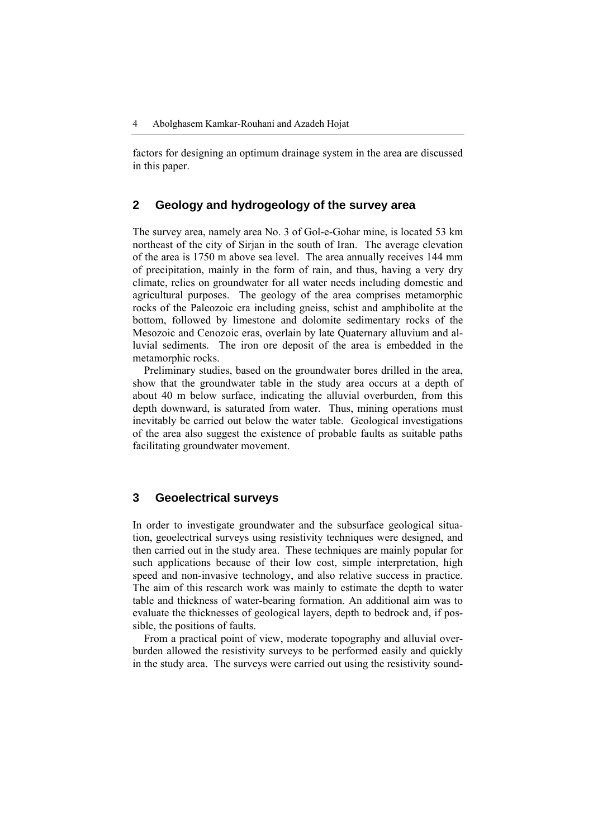factors for designing an optimum drainage system in the area are discussed in this paper.

## **2 Geology and hydrogeology of the survey area**

The survey area, namely area No. 3 of Gol-e-Gohar mine, is located 53 km northeast of the city of Sirjan in the south of Iran. The average elevation of the area is 1750 m above sea level. The area annually receives 144 mm of precipitation, mainly in the form of rain, and thus, having a very dry climate, relies on groundwater for all water needs including domestic and agricultural purposes. The geology of the area comprises metamorphic rocks of the Paleozoic era including gneiss, schist and amphibolite at the bottom, followed by limestone and dolomite sedimentary rocks of the Mesozoic and Cenozoic eras, overlain by late Quaternary alluvium and alluvial sediments. The iron ore deposit of the area is embedded in the metamorphic rocks.

Preliminary studies, based on the groundwater bores drilled in the area, show that the groundwater table in the study area occurs at a depth of about 40 m below surface, indicating the alluvial overburden, from this depth downward, is saturated from water. Thus, mining operations must inevitably be carried out below the water table. Geological investigations of the area also suggest the existence of probable faults as suitable paths facilitating groundwater movement.

## **3 Geoelectrical surveys**

In order to investigate groundwater and the subsurface geological situation, geoelectrical surveys using resistivity techniques were designed, and then carried out in the study area. These techniques are mainly popular for such applications because of their low cost, simple interpretation, high speed and non-invasive technology, and also relative success in practice. The aim of this research work was mainly to estimate the depth to water table and thickness of water-bearing formation. An additional aim was to evaluate the thicknesses of geological layers, depth to bedrock and, if possible, the positions of faults.

From a practical point of view, moderate topography and alluvial overburden allowed the resistivity surveys to be performed easily and quickly in the study area. The surveys were carried out using the resistivity sound-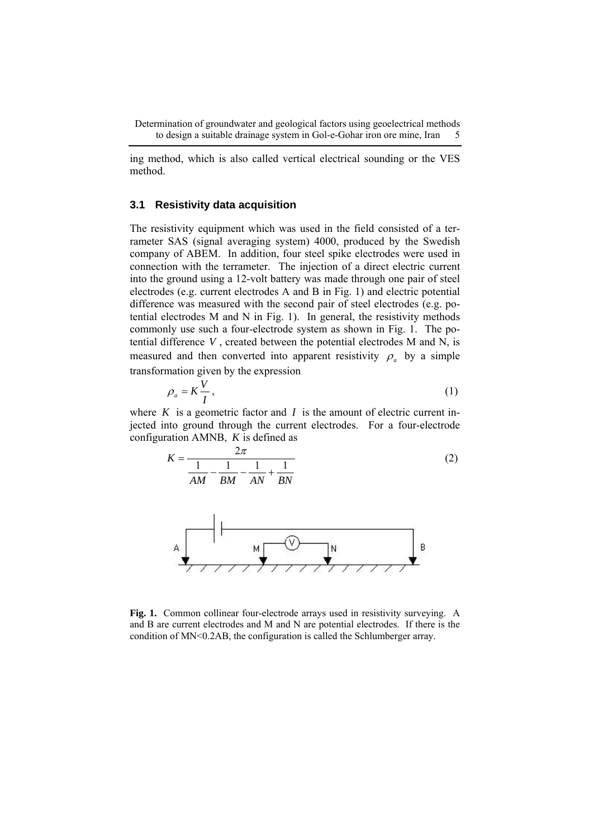ing method, which is also called vertical electrical sounding or the VES method.

#### **3.1 Resistivity data acquisition**

The resistivity equipment which was used in the field consisted of a terrameter SAS (signal averaging system) 4000, produced by the Swedish company of ABEM. In addition, four steel spike electrodes were used in connection with the terrameter. The injection of a direct electric current into the ground using a 12-volt battery was made through one pair of steel electrodes (e.g. current electrodes A and B in Fig. 1) and electric potential difference was measured with the second pair of steel electrodes (e.g. potential electrodes M and N in Fig. 1). In general, the resistivity methods commonly use such a four-electrode system as shown in Fig. 1. The potential difference *V* , created between the potential electrodes M and N, is measured and then converted into apparent resistivity  $\rho_a$  by a simple transformation given by the expression

$$
\rho_a = K \frac{V}{I},\tag{1}
$$

where  $K$  is a geometric factor and  $I$  is the amount of electric current injected into ground through the current electrodes. For a four-electrode configuration AMNB, *K* is defined as

$$
K = \frac{2\pi}{\frac{1}{AM} - \frac{1}{BM} - \frac{1}{AN} + \frac{1}{BN}}
$$
 (2)



**Fig. 1.** Common collinear four-electrode arrays used in resistivity surveying. A and B are current electrodes and M and N are potential electrodes. If there is the condition of MN<0.2AB, the configuration is called the Schlumberger array.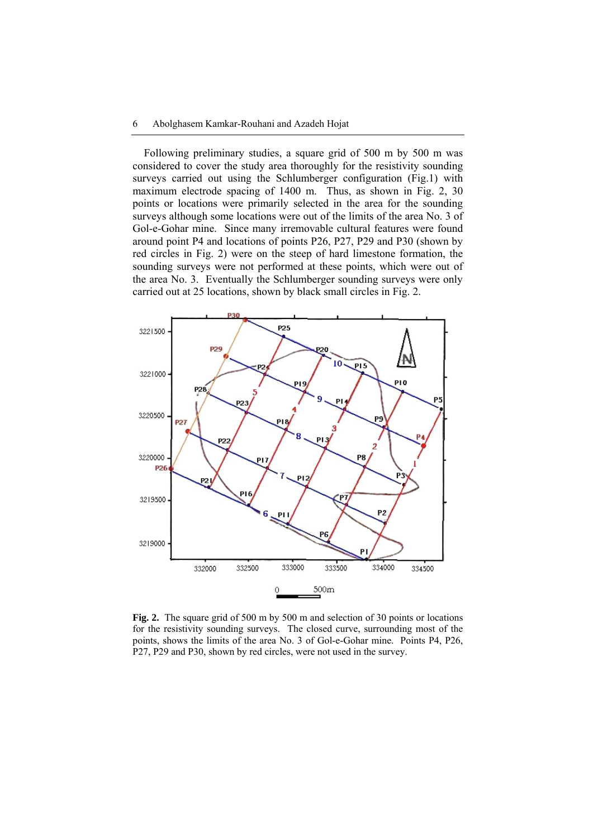Following preliminary studies, a square grid of 500 m by 500 m was considered to cover the study area thoroughly for the resistivity sounding surveys carried out using the Schlumberger configuration (Fig.1) with maximum electrode spacing of 1400 m. Thus, as shown in Fig. 2, 30 points or locations were primarily selected in the area for the sounding surveys although some locations were out of the limits of the area No. 3 of Gol-e-Gohar mine. Since many irremovable cultural features were found around point P4 and locations of points P26, P27, P29 and P30 (shown by red circles in Fig. 2) were on the steep of hard limestone formation, the sounding surveys were not performed at these points, which were out of the area No. 3. Eventually the Schlumberger sounding surveys were only carried out at 25 locations, shown by black small circles in Fig. 2.



**Fig. 2.** The square grid of 500 m by 500 m and selection of 30 points or locations for the resistivity sounding surveys. The closed curve, surrounding most of the points, shows the limits of the area No. 3 of Gol-e-Gohar mine. Points P4, P26, P27, P29 and P30, shown by red circles, were not used in the survey.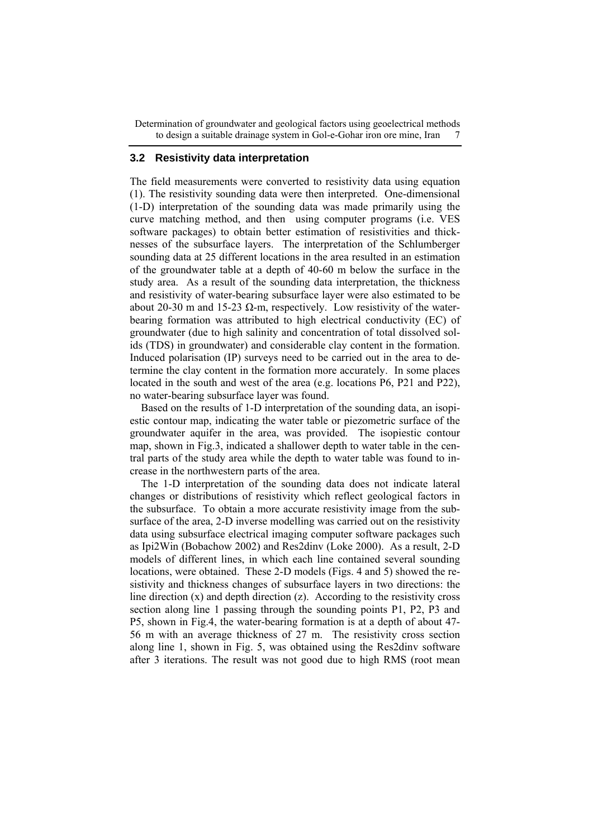#### **3.2 Resistivity data interpretation**

The field measurements were converted to resistivity data using equation (1). The resistivity sounding data were then interpreted. One-dimensional (1-D) interpretation of the sounding data was made primarily using the curve matching method, and then using computer programs (i.e. VES software packages) to obtain better estimation of resistivities and thicknesses of the subsurface layers. The interpretation of the Schlumberger sounding data at 25 different locations in the area resulted in an estimation of the groundwater table at a depth of 40-60 m below the surface in the study area. As a result of the sounding data interpretation, the thickness and resistivity of water-bearing subsurface layer were also estimated to be about 20-30 m and 15-23  $\Omega$ -m, respectively. Low resistivity of the waterbearing formation was attributed to high electrical conductivity (EC) of groundwater (due to high salinity and concentration of total dissolved solids (TDS) in groundwater) and considerable clay content in the formation. Induced polarisation (IP) surveys need to be carried out in the area to determine the clay content in the formation more accurately. In some places located in the south and west of the area (e.g. locations P6, P21 and P22), no water-bearing subsurface layer was found.

Based on the results of 1-D interpretation of the sounding data, an isopiestic contour map, indicating the water table or piezometric surface of the groundwater aquifer in the area, was provided. The isopiestic contour map, shown in Fig.3, indicated a shallower depth to water table in the central parts of the study area while the depth to water table was found to increase in the northwestern parts of the area.

The 1-D interpretation of the sounding data does not indicate lateral changes or distributions of resistivity which reflect geological factors in the subsurface. To obtain a more accurate resistivity image from the subsurface of the area, 2-D inverse modelling was carried out on the resistivity data using subsurface electrical imaging computer software packages such as Ipi2Win (Bobachow 2002) and Res2dinv (Loke 2000). As a result, 2-D models of different lines, in which each line contained several sounding locations, were obtained. These 2-D models (Figs. 4 and 5) showed the resistivity and thickness changes of subsurface layers in two directions: the line direction  $(x)$  and depth direction  $(z)$ . According to the resistivity cross section along line 1 passing through the sounding points P1, P2, P3 and P5, shown in Fig.4, the water-bearing formation is at a depth of about 47- 56 m with an average thickness of 27 m. The resistivity cross section along line 1, shown in Fig. 5, was obtained using the Res2dinv software after 3 iterations. The result was not good due to high RMS (root mean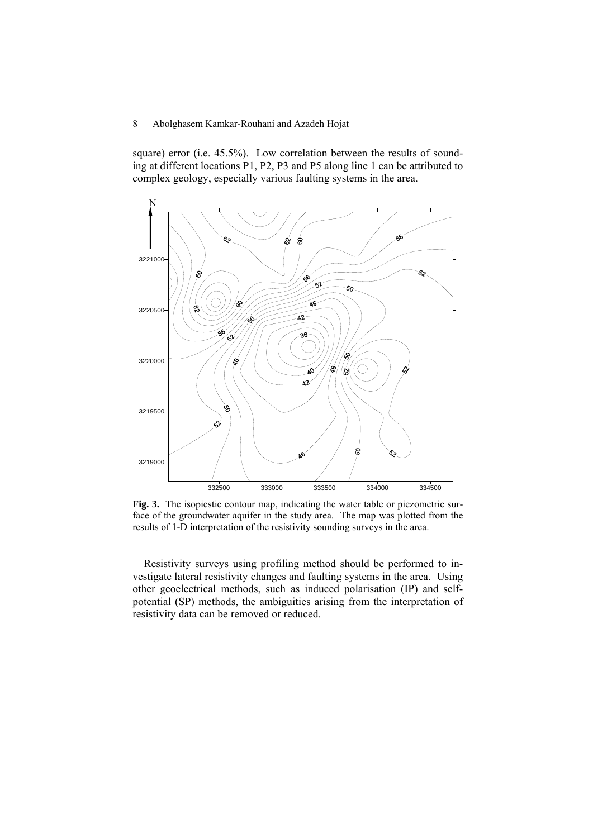square) error (i.e. 45.5%). Low correlation between the results of sounding at different locations P1, P2, P3 and P5 along line 1 can be attributed to complex geology, especially various faulting systems in the area.



**Fig. 3.** The isopiestic contour map, indicating the water table or piezometric surface of the groundwater aquifer in the study area. The map was plotted from the results of 1-D interpretation of the resistivity sounding surveys in the area.

Resistivity surveys using profiling method should be performed to investigate lateral resistivity changes and faulting systems in the area. Using other geoelectrical methods, such as induced polarisation (IP) and selfpotential (SP) methods, the ambiguities arising from the interpretation of resistivity data can be removed or reduced.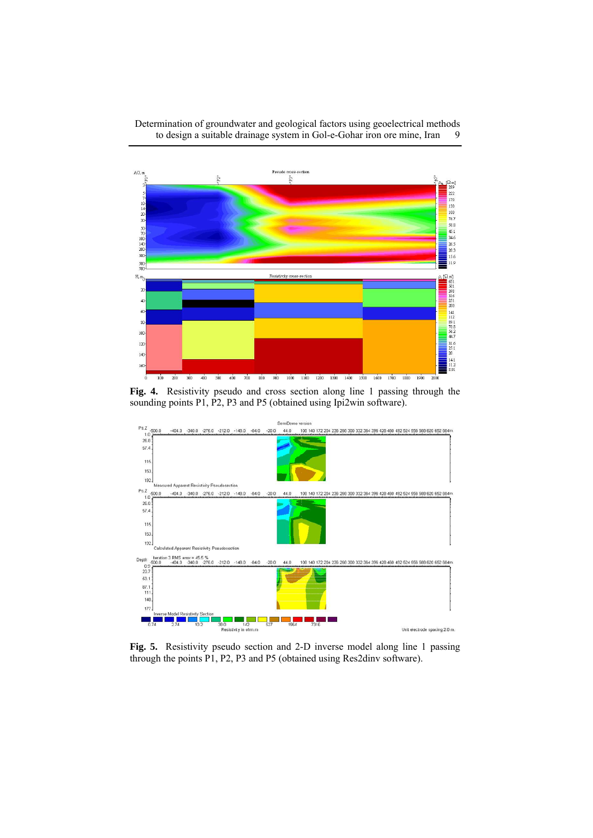

**Fig. 4.** Resistivity pseudo and cross section along line 1 passing through the sounding points P1, P2, P3 and P5 (obtained using Ipi2win software).



**Fig. 5.** Resistivity pseudo section and 2-D inverse model along line 1 passing through the points P1, P2, P3 and P5 (obtained using Res2dinv software).